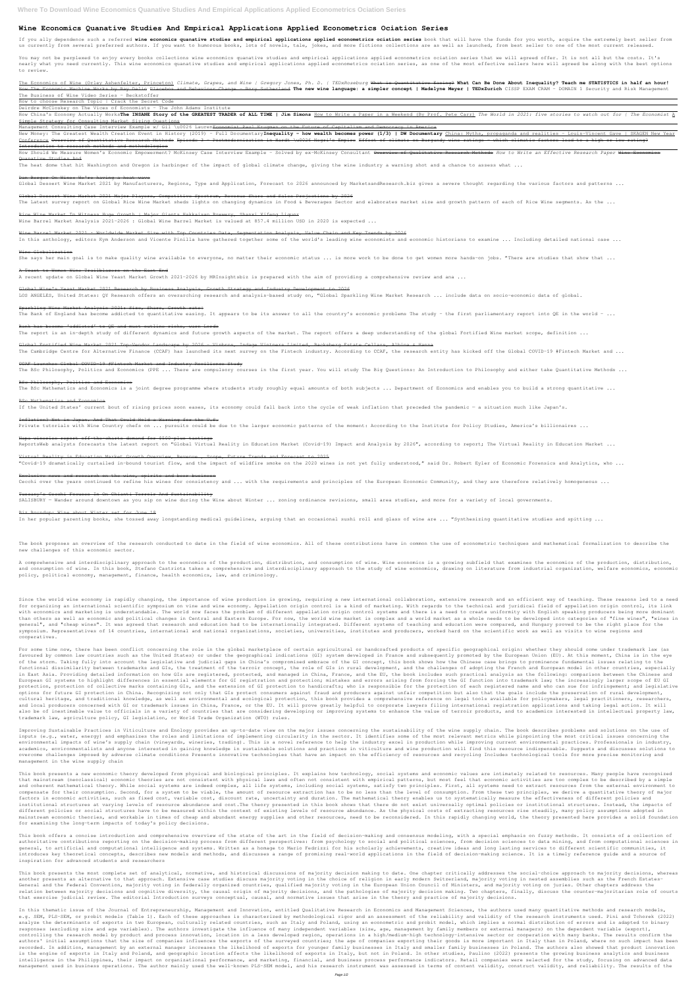## **Wine Economics Quanative Studies And Empirical Applications Applied Econometrics Ociation Series**

If you ally dependence such a referred wine economics quanative studies and empirical applications applied econometrics ociation series book that will have the funds for you worth, acquire the extremely best seller from us currently from several preferred authors. If you want to humorous books, lots of novels, tale, jokes, and more fictions collections are as well as launched, from best seller to one of the most current released.

You may not be perplexed to enjoy every books collections wine economics quanative studies and empirical applications applied econometrics ociation series that we will agreed offer. It is not all but the costs. It's nearly what you need currently. This wine economics quanative studies and empirical applications applied econometrics ociation series, as one of the most effective sellers here will agreed be along with the best options to review.

The Economics of Wine (Orley Ashenfelter, Princeton) Climate, Grapes, and Wine | Gregory Jones, Ph. D. | TEDxRoseburg What is Quantitative Easing? What Can Be Done About Inequality? Teach me STATISTICS in half an hour! How The Economic Machine Works by Ray Dalio Placebos and Behaviour Change - Rory Sutherland **The new wine language: a simpler concept | Madelyne Meyer | TEDxZurich** CISSP EXAM CRAM - DOMAIN 1 Security and Risk Management The Business of Wine Video Series - Beckstoffer

How China's Economy Actually Works**The INSANE Story of the GREATEST TRADER of ALL TIME | Jim Simons** <u>How to Write a Paper in a Weekend (By Prof. Pete Carr)</u> The World in 2021: five stories to watch out for | The Economist Simple Strategy for Consulting Market Sizing Questions

Management Consulting Case Interview Example w/ Gil \u0026 Lauren<del>Economist Paul Krugman on the Future of Capitalism and Democracy in America</del>

New Money: The Greatest Wealth Creation Event in History (2019) - Full Documentary**Inequality - how wealth becomes power (1/3) | DW Documentary** China: Myths, propaganda and realities - Louis-Vincent Gave | SKAGEN New Year Conference Overview of Quantitative Research Methods Episode 3 - Postmodernization in Hardt \u0026 Negri's Empire Effect of climate on Burgundy wine ratings - which climatic factors lead to a high or low rating? Introduction to research methods and methodologies

How to choose Research Topic | Crack the Secret Code

Deirdre McCloskey on The Vices of Economists - The John Adams Institute

## How Should We Measure Women's Economic Empowerment? McKinsey Case Interview Example - Solved by ex-McKinsey Consultant Overview of Qualitative Research Methods *How to Write an Effective Research Paper* Wine Economics Quanative Studies And

The heat dome that hit Washington and Oregon is harbinger of the impact of global climate change, giving the wine industry a warning shot and a chance to assess what ...

## Dan Berger On Wine: We're having a heat wave

Global Dessert Wine Market 2021 by Manufacturers, Regions, Type and Application, Forecast to 2026 announced by MarketsandResearch.biz gives a severe thought regarding the various factors and patterns ...

Global Dessert Wine Market 2021 Major Players, Competitive Spectrum, Revenue Share and Sales Projections by 2026

The Latest survey report on Global Rice Wine Market sheds lights on changing dynamics in Food & Beverages Sector and elaborates market size and growth pattern of each of Rice Wine segments. As the ...

## Rice Wine Market To Witness Huge Growth | Major Giants Hakkaisan Brewery, Shanxi Xifeng Liquor

Wine Barrel Market Analysis 2021-2026 : Global Wine Barrel Market is valued at 857.4 million USD in 2020 is expected ...

## Wine Barrel Market 2021 : Worldwide Market Size with Top Countries Data, Segmentation Analysis, Value Chain and Key Trends by 2026

In this anthology, editors Kym Anderson and Vicente Pinilla have gathered together some of the world's leading wine economists and economic historians to examine ... Including detailed national case ...

#### Wine Globalization

She says her main goal is to make quality wine available to everyone, no matter their economic status ... is more work to be done to get women more hands-on jobs. "There are studies that show that ...

The book proposes an overview of the research conducted to date in the field of wine economics. All of these contributions have in common the use of econometric techniques and mathematical formalization to describe the new challenges of this economic sector.

## A Toast to Women Wine Trailblazers on the East End

A recent update on Global Wine Yeast Market Growth 2021-2026 by MRInsightsbiz is prepared with the aim of providing a comprehensive review and ana ...

## Global Wine's Yeast Market 2021 Research by Business Analysis, Growth Strategy and Industry Development to 2026

LOS ANGELES, United States: QY Research offers an overarching research and analysis-based study on, "Global Sparkling Wine Market Research ... include data on socio-economic data of global.

#### Sparkling Wine Market Analysis 2021: Size, Share, Growth rate

The Bank of England has become addicted to quantitative easing. It appears to be its answer to all the country's economic problems The study - the first parliamentary report into QE in the world - ...

Since the world wine economy is rapidly changing, the importance of wine production is growing, requiring a new international collaboration, extensive research and an efficient way of teaching. These reasons led to a need for organizing an international scientific symposium on vine and wine economy. Appellation origin control is a kind of marketing. With regards to the technical and juridical field of appellation origin control, its link with economics and marketing is understandable. The world now faces the problem of different appellation origin control systems and there is a need to create uniformity with English speaking producers being more dominant than others as well as economic and political changes in Central and Eastern Europe. For now, the world wine market is complex and a world market as a whole needs to be developed into categories of "fine wines in "wines in general", and "cheap wines". It was agreed that research and education had to be internationally integrated. Different systems of teaching and education were compared, and Hungary proved to be the right place for the symposium. Representatives of 14 countries, international and national organizations, societies, universities, institutes and producers, worked hard on the scientific work as well as visits to wine regions and cooperatives.

## Bank has become 'addicted' to QE and must outline risks, warn Lords

The report is an in-depth study of different dynamics and future growth aspects of the market. The report offers a deep understanding of the global Fortified Wine market scope, definition ...

## Global Fortified Wine Market 2021 Top-Vendor Landscape by 2026 – Vinbros, Indage Vintners Limited, Backsberg Estate Cellars, Albina & Hanna

The Cambridge Centre for Alternative Finance (CCAF) has launched its next survey on the Fintech industry. According to CCAF, the research entity has kicked off the Global COVID-19 #Fintech Market and ...

## CCAF Launches Global COVID-19 #Fintech Market and Industry Resilience Study

The BSc Philosophy, Politics and Economics (PPE ... There are compulsory courses in the first year. You will study The Big Questions: An Introduction to Philosophy and either take Quantitative Methods ...

#### BSc Philosophy, Politics and Economics

The BSc Mathematics and Economics is a joint degree programme where students study roughly equal amounts of both subjects ... Department of Economics and enables you to build a strong quantitative ...

#### BSc Mathematics and Economics

If the United States' current bout of rising prices soon eases, its economy could fall back into the cycle of weak inflation that preceded the pandemic - a situation much like Japan's.

For some time now, there has been conflict concerning the role in the global marketplace of certain agricultural or handcrafted products of specific geographical origin: whether they should come under trademark law (as favoured by common law countries such as the United States) or under the geographical indications (GI) system developed in France and subsequently promoted by the European Union (EU). At this moment, China is in the eye of the storm. Taking fully into account the legislative and judicial gaps in China's compromised embrace of the GI concept, this book shows how the Chinese case brings to prominence fundamental issues relating to the functional dissimilarity between trademarks and GIs, the treatment of the terroir concept, the role of GIs in rural development, and the challenges of adopting the French and European model in other countries, especially in East Asia. Providing detailed information on how GIs are registered, protected, and managed in China, France, and the EU, the book includes such practical analysis as the following: comparison between the Chinese and European GI systems to highlight differences in essential elements for GI registration and protection; mistakes and errors arising from forcing the GI function into trademark law; the increasingly larger scope of EU GI protection, protection of collective marks containing GIs, and the extension of GI protection to handicrafts; who is responsible for the protection of each registered name and who can sue for infringement; and legislative options for future GI protection in China. Recognizing not only that GIs protect consumers against fraud and producers against unfair competition but also that the goals include the preservation of rural development, cultural heritage, and traditional knowledge, as well as environmental and ecological protection, this book provides a comprehensive reference on legal tools available for policymakers, legal practitioners, researchers, and local producers concerned with GI or trademark issues in China, France, or the EU. It will prove greatly helpful to corporate lawyers filing international registration applications and taking legal action. It will also be of inestimable value to officials in a variety of countries that are considering developing or improving systems to enhance the value of terroir products, and to academics interested in intellectual property law, trademark law, agriculture policy, GI legislation, or World Trade Organization (WTO) rules.

Improving Sustainable Practices in Viticulture and Enology provides an up-to-date view on the major issues concerning the sustainability of the wine supply chain. The book describes problems and solutions on the use of inputs (e.g., water, energy) and emphasizes the roles and limitations of implementing circularity in the sector. It identifies some of the most relevant metrics while pinpointing the most critical issues concerning the environmental impacts of wine's supply chain (vineyards, wineries, trading). This is a novel reference to help the industry excel in production while improving current environmental practices. Professionals in industry,

#### Inflation? Not in Japan. And That Could Hold a Warning for the U.S.

Private tutorials with Wine Country chefs on ... pursuits could be due to the larger economic patterns of the moment: According to the Institute for Policy Studies, America's billionaires ...

#### Napa wineries report off-the-charts demand for \$500-plus tastings

ReportsWeb analysts forecasts the latest report on "Global Virtual Reality in Education Market (Covid-19) Impact and Analysis by 2026", according to report; The Virtual Reality in Education Market ...

#### Virtual Reality in Education Market Growth Overview, Revenue , Scope, Future Trends and Forecast to 2025

"Covid-19 dramatically curtailed in-bound tourist flow, and the impact of wildfire smoke on the 2020 wines is not yet fully understood," said Dr. Robert Eyler of Economic Forensics and Analytics, who ...

#### Exclusive news and research on the wine, spirits and beer business

Cecchi over the years continued to refine his wines for consistency and ... with the requirements and principles of the European Economic Community, and they are therefore relatively homogeneous ...

#### Tuscany's Cecchi Focuses In On Chianti Terroir And Sustainability

SALISBURY - Wander around downtown as you sip on wine during the Wine about Winter ... zoning ordinance revisions, small area studies, and more for a variety of local governments.

#### Biz Roundup: Wine about Winter set for June 18

In her popular parenting books, she tossed away longstanding medical guidelines, arguing that an occasional sushi roll and glass of wine are ... "Synthesizing quantitative studies and spitting ...

This book offers a concise introduction and comprehensive overview of the state of the art in the field of decision-making and consensus modeling, with a special emphasis on fuzzy methods. It consists of a collection of authoritative contributions reporting on the decision-making process from different perspectives: from psychology to social and political sciences, from decision sciences to data mining, and from computational sciences in general, to artificial and computational intelligence and systems. Written as a homage to Mario Fedrizzi for his scholarly achievements, creative ideas and long lasting services to different scientific communities, it introduces key theoretical concepts, describes new models and methods, and discusses a range of promising real-world applications in the field of decision-making science. It is a timely reference guide and a source of inspiration for advanced students and researchers

This book presents the most complete set of analytical, normative, and historical discussions of majority decision making to date. One chapter critically addresses the social-choice approach to majority decisions, whereas another presents an alternative to that approach. Extensive case studies discuss majority voting in early modern Switzerland, majority voting in nested assemblies such as the French Estates-General and the Federal Convention, majority voting in federally organized countries, qualified majority voting in the European Union Council of Ministers, and majority voting on juries. Other chapters address the relation between majority decisions and cognitive diversity, the causal origin of majority decisions, and the pathologies of majority decision making. Two chapters, finally, discuss the counter-majoritarian role of courts that exercise judicial review. The editorial Introduction surveys conceptual, causal, and normative issues that arise in the theory and practice of majority decisions.

A comprehensive and interdisciplinary approach to the economics of the production, distribution, and consumption of wine. Wine economics is a growing subfield that examines the economics of the production, distribution, and consumption of wine. In this book, Stefano Castriota takes a comprehensive and interdisciplinary approach to the study of wine economics, drawing on literature from industrial organization, welfare economics, economic policy, political economy, management, finance, health economics, law, and criminology.

academics, environmentalists and anyone interested in gaining knowledge in sustainable solutions and practices in viticulture and wine production will find this resource indispensable. Suggests and discusses solutions to overcome challenges imposed by adverse climate conditions Presents innovative technologies that have an impact on the efficiency of resources and recycling Includes technological tools for more precise monitoring and management in the wine supply chain

This book presents a new economic theory developed from physical and biological principles. It explains how technology, social systems and economic values are intimately related to resources. Many people have recognized that mainstream (neoclassical) economic theories are not consistent with physical laws and often not consistent with empirical patterns, but most feel that economic activities are too complex to be described by a simple and coherent mathematical theory. While social systems are indeed complex, all life systems, including social systems, satisfy two principles. First, all systems need to extract resources from the external environment to compensate for their consumption. Second, for a system to be viable, the amount of resource extraction has to be no less than the level of consumption. From these two principles, we derive a quantitative theory of major factors in economic activities, such as fixed cost, variable cost, discount rate, uncertainty and duration. The mathematical theory enables us to systematically measure the effectiveness of different policies and institutional structures at varying levels of resource abundance and cost.The theory presented in this book shows that there do not exist universally optimal policies or institutional structures. Instead, the impacts of different policies or social structures have to be measured within the context of existing levels of resource. As the physical costs of extracting resources rise steadily, many policy assumptions adopted in mainstream economic theories, and workable in times of cheap and abundant energy supplies and other resources, need to be reconsidered. In this rapidly changing world, the theory presented here provides a solid foundation for examining the long-term impacts of today's policy decisions.

In this thematic issue of the Journal of Entrepreneurship, Management and Innovation, entitled Qualitative Research in Economics and Management Sciences, the authors used many quantitative methods and research models, e.g. SEM, PLS-SEM, or probit models (Table 1). Each of these approaches is characterized by methodological rigor and an assessment of the reliability and validity of the research instruments used. Pini and Tchorek (2022) analyze the determinants of exports in two European, culturally related countries, such as Italy and Poland, using an econometric and probit model, which implies a normal distribution of errors and is adapted to binary responses (excluding size and age variables). The authors investigate the influence of many independent variables (size, age, management by family members or external managers) on the dependent variable (export), controlling the research model by product and process innovation, location in a less developed region, operations in a high/medium-high technology-intensive sector or cooperation with many banks. The results confirm the authors' initial assumptions that the size of companies influences the exports of the surveyed countries; the age of companies exporting their goods is more important in Italy than in Poland, where no such impact has been recorded. In addition, management by an external manager increases the likelihood of exports for younger family businesses in Italy and smaller family businesses in Poland. The authors also showed that product innovation is the engine of exports in Italy and Poland, and geographic location affects the likelihood of exports in Italy, but not in Poland. In other studies, Paulino (2022) presents the growing business analytics and business intelligence in the Philippines, their impact on organizational performance, and marketing, financial, and business process performance indicators. Retail companies were selected for the study, focusing on advanced data management used in business operations. The author mainly used the well-known PLS-SEM model, and his research instrument was assessed in terms of content validity, construct validity, and reliability. The results of the